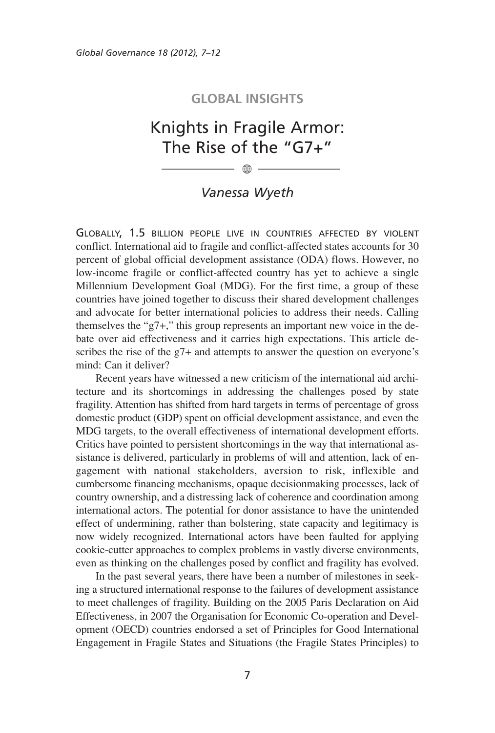## **GLOBAL INSIGHTS**

## Knights in Fragile Armor: The Rise of the "G7+"

 $\oplus$ 

## *Vanessa Wyeth*

GLOBALLY, 1.5 BILLION PEOPLE LIVE IN COUNTRIES AFFECTED BY VIOLENT conflict. International aid to fragile and conflict-affected states accounts for 30 percent of global official development assistance (ODA) flows. However, no low-income fragile or conflict-affected country has yet to achieve a single Millennium Development Goal (MDG). For the first time, a group of these countries have joined together to discuss their shared development challenges and advocate for better international policies to address their needs. Calling themselves the "g7+," this group represents an important new voice in the debate over aid effectiveness and it carries high expectations. This article describes the rise of the g7+ and attempts to answer the question on everyone's mind: Can it deliver?

Recent years have witnessed a new criticism of the international aid architecture and its shortcomings in addressing the challenges posed by state fragility. Attention has shifted from hard targets in terms of percentage of gross domestic product (GDP) spent on official development assistance, and even the MDG targets, to the overall effectiveness of international development efforts. Critics have pointed to persistent shortcomings in the way that international assistance is delivered, particularly in problems of will and attention, lack of engagement with national stakeholders, aversion to risk, inflexible and cumbersome financing mechanisms, opaque decisionmaking processes, lack of country ownership, and a distressing lack of coherence and coordination among international actors. The potential for donor assistance to have the unintended effect of undermining, rather than bolstering, state capacity and legitimacy is now widely recognized. International actors have been faulted for applying cookie-cutter approaches to complex problems in vastly diverse environments, even as thinking on the challenges posed by conflict and fragility has evolved.

In the past several years, there have been a number of milestones in seeking a structured international response to the failures of development assistance to meet challenges of fragility. Building on the 2005 Paris Declaration on Aid Effectiveness, in 2007 the Organisation for Economic Co-operation and Development (OECD) countries endorsed a set of Principles for Good International Engagement in Fragile States and Situations (the Fragile States Principles) to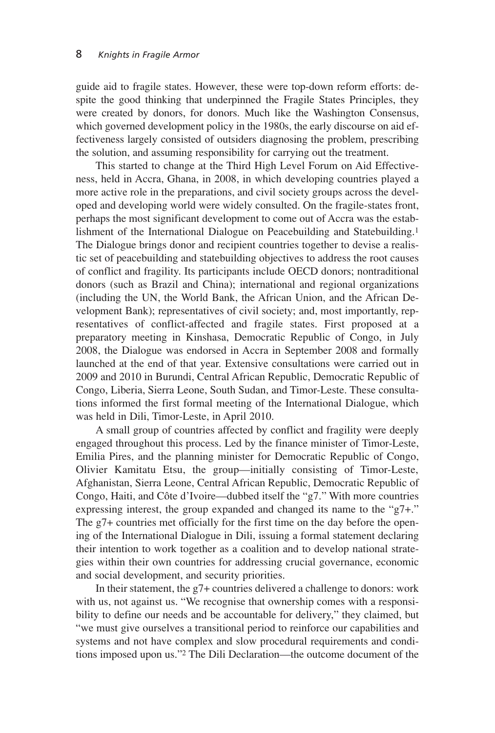guide aid to fragile states. However, these were top-down reform efforts: despite the good thinking that underpinned the Fragile States Principles, they were created by donors, for donors. Much like the Washington Consensus, which governed development policy in the 1980s, the early discourse on aid effectiveness largely consisted of outsiders diagnosing the problem, prescribing the solution, and assuming responsibility for carrying out the treatment.

This started to change at the Third High Level Forum on Aid Effectiveness, held in Accra, Ghana, in 2008, in which developing countries played a more active role in the preparations, and civil society groups across the developed and developing world were widely consulted. On the fragile-states front, perhaps the most significant development to come out of Accra was the establishment of the International Dialogue on Peacebuilding and Statebuilding.1 The Dialogue brings donor and recipient countries together to devise a realistic set of peacebuilding and statebuilding objectives to address the root causes of conflict and fragility. Its participants include OECD donors; nontraditional donors (such as Brazil and China); international and regional organizations (including the UN, the World Bank, the African Union, and the African Development Bank); representatives of civil society; and, most importantly, representatives of conflict-affected and fragile states. First proposed at a preparatory meeting in Kinshasa, Democratic Republic of Congo, in July 2008, the Dialogue was endorsed in Accra in September 2008 and formally launched at the end of that year. Extensive consultations were carried out in 2009 and 2010 in Burundi, Central African Republic, Democratic Republic of Congo, Liberia, Sierra Leone, South Sudan, and Timor-Leste. These consultations informed the first formal meeting of the International Dialogue, which was held in Dili, Timor-Leste, in April 2010.

A small group of countries affected by conflict and fragility were deeply engaged throughout this process. Led by the finance minister of Timor-Leste, Emilia Pires, and the planning minister for Democratic Republic of Congo, Olivier Kamitatu Etsu, the group—initially consisting of Timor-Leste, Afghanistan, Sierra Leone, Central African Republic, Democratic Republic of Congo, Haiti, and Côte d'Ivoire—dubbed itself the "g7." With more countries expressing interest, the group expanded and changed its name to the "g7+." The g7+ countries met officially for the first time on the day before the opening of the International Dialogue in Dili, issuing a formal statement declaring their intention to work together as a coalition and to develop national strategies within their own countries for addressing crucial governance, economic and social development, and security priorities.

In their statement, the g7+ countries delivered a challenge to donors: work with us, not against us. "We recognise that ownership comes with a responsibility to define our needs and be accountable for delivery," they claimed, but "we must give ourselves a transitional period to reinforce our capabilities and systems and not have complex and slow procedural requirements and conditions imposed upon us."2 The Dili Declaration—the outcome document of the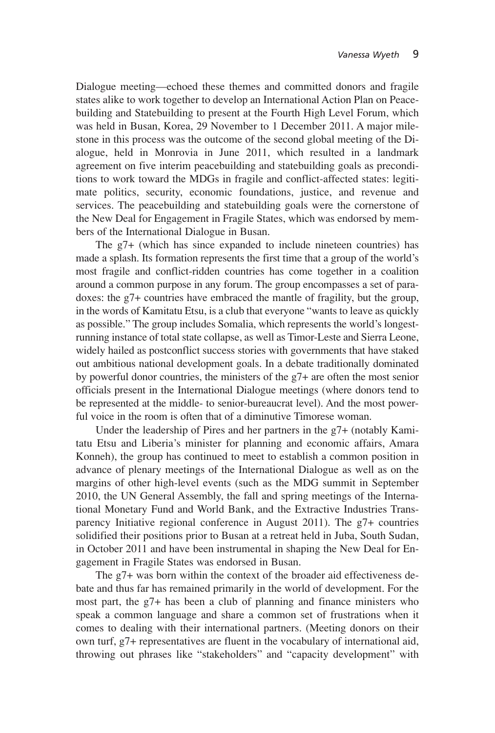Dialogue meeting—echoed these themes and committed donors and fragile states alike to work together to develop an International Action Plan on Peacebuilding and Statebuilding to present at the Fourth High Level Forum, which was held in Busan, Korea, 29 November to 1 December 2011. A major milestone in this process was the outcome of the second global meeting of the Dialogue, held in Monrovia in June 2011, which resulted in a landmark agreement on five interim peacebuilding and statebuilding goals as preconditions to work toward the MDGs in fragile and conflict-affected states: legitimate politics, security, economic foundations, justice, and revenue and services. The peacebuilding and statebuilding goals were the cornerstone of the New Deal for Engagement in Fragile States, which was endorsed by members of the International Dialogue in Busan.

The g7+ (which has since expanded to include nineteen countries) has made a splash. Its formation represents the first time that a group of the world's most fragile and conflict-ridden countries has come together in a coalition around a common purpose in any forum. The group encompasses a set of paradoxes: the g7+ countries have embraced the mantle of fragility, but the group, in the words of Kamitatu Etsu, is a club that everyone "wants to leave as quickly as possible." The group includes Somalia, which represents the world's longestrunning instance of total state collapse, as well as Timor-Leste and Sierra Leone, widely hailed as postconflict success stories with governments that have staked out ambitious national development goals. In a debate traditionally dominated by powerful donor countries, the ministers of the g7+ are often the most senior officials present in the International Dialogue meetings (where donors tend to be represented at the middle- to senior-bureaucrat level). And the most powerful voice in the room is often that of a diminutive Timorese woman.

Under the leadership of Pires and her partners in the g7+ (notably Kamitatu Etsu and Liberia's minister for planning and economic affairs, Amara Konneh), the group has continued to meet to establish a common position in advance of plenary meetings of the International Dialogue as well as on the margins of other high-level events (such as the MDG summit in September 2010, the UN General Assembly, the fall and spring meetings of the International Monetary Fund and World Bank, and the Extractive Industries Transparency Initiative regional conference in August 2011). The g7+ countries solidified their positions prior to Busan at a retreat held in Juba, South Sudan, in October 2011 and have been instrumental in shaping the New Deal for Engagement in Fragile States was endorsed in Busan.

The g7+ was born within the context of the broader aid effectiveness debate and thus far has remained primarily in the world of development. For the most part, the g7+ has been a club of planning and finance ministers who speak a common language and share a common set of frustrations when it comes to dealing with their international partners. (Meeting donors on their own turf, g7+ representatives are fluent in the vocabulary of international aid, throwing out phrases like "stakeholders" and "capacity development" with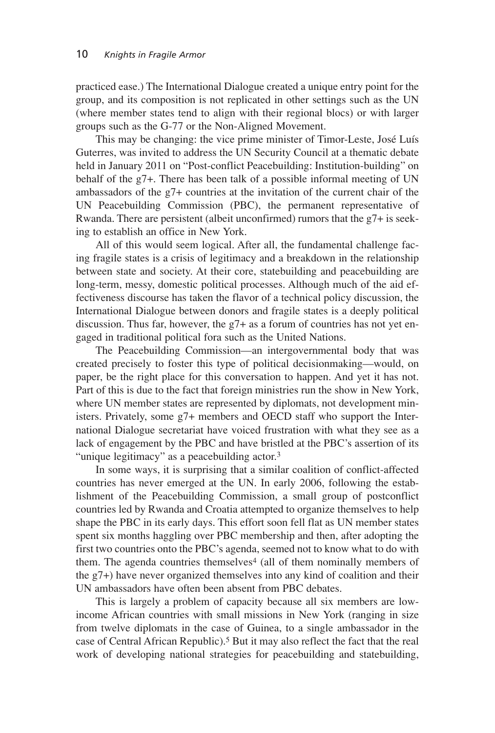practiced ease.) The International Dialogue created a unique entry point for the group, and its composition is not replicated in other settings such as the UN (where member states tend to align with their regional blocs) or with larger groups such as the G-77 or the Non-Aligned Movement.

This may be changing: the vice prime minister of Timor-Leste, José Luís Guterres, was invited to address the UN Security Council at a thematic debate held in January 2011 on "Post-conflict Peacebuilding: Institution-building" on behalf of the g7+. There has been talk of a possible informal meeting of UN ambassadors of the g7+ countries at the invitation of the current chair of the UN Peacebuilding Commission (PBC), the permanent representative of Rwanda. There are persistent (albeit unconfirmed) rumors that the g7+ is seeking to establish an office in New York.

All of this would seem logical. After all, the fundamental challenge facing fragile states is a crisis of legitimacy and a breakdown in the relationship between state and society. At their core, statebuilding and peacebuilding are long-term, messy, domestic political processes. Although much of the aid effectiveness discourse has taken the flavor of a technical policy discussion, the International Dialogue between donors and fragile states is a deeply political discussion. Thus far, however, the g7+ as a forum of countries has not yet engaged in traditional political fora such as the United Nations.

The Peacebuilding Commission—an intergovernmental body that was created precisely to foster this type of political decisionmaking—would, on paper, be the right place for this conversation to happen. And yet it has not. Part of this is due to the fact that foreign ministries run the show in New York, where UN member states are represented by diplomats, not development ministers. Privately, some g7+ members and OECD staff who support the International Dialogue secretariat have voiced frustration with what they see as a lack of engagement by the PBC and have bristled at the PBC's assertion of its "unique legitimacy" as a peacebuilding actor.<sup>3</sup>

In some ways, it is surprising that a similar coalition of conflict-affected countries has never emerged at the UN. In early 2006, following the establishment of the Peacebuilding Commission, a small group of postconflict countries led by Rwanda and Croatia attempted to organize themselves to help shape the PBC in its early days. This effort soon fell flat as UN member states spent six months haggling over PBC membership and then, after adopting the first two countries onto the PBC's agenda, seemed not to know what to do with them. The agenda countries themselves<sup>4</sup> (all of them nominally members of the g7+) have never organized themselves into any kind of coalition and their UN ambassadors have often been absent from PBC debates.

This is largely a problem of capacity because all six members are lowincome African countries with small missions in New York (ranging in size from twelve diplomats in the case of Guinea, to a single ambassador in the case of Central African Republic).5 But it may also reflect the fact that the real work of developing national strategies for peacebuilding and statebuilding,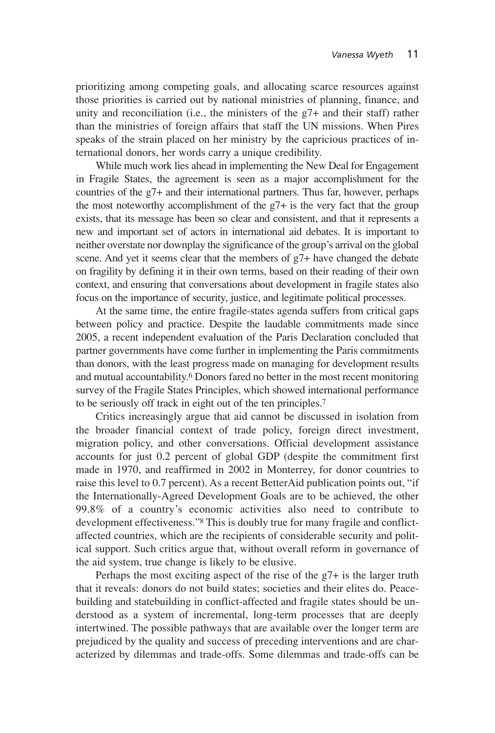prioritizing among competing goals, and allocating scarce resources against those priorities is carried out by national ministries of planning, finance, and unity and reconciliation (i.e., the ministers of the g7+ and their staff) rather than the ministries of foreign affairs that staff the UN missions. When Pires speaks of the strain placed on her ministry by the capricious practices of international donors, her words carry a unique credibility.

While much work lies ahead in implementing the New Deal for Engagement in Fragile States, the agreement is seen as a major accomplishment for the countries of the g7+ and their international partners. Thus far, however, perhaps the most noteworthy accomplishment of the g7+ is the very fact that the group exists, that its message has been so clear and consistent, and that it represents a new and important set of actors in international aid debates. It is important to neither overstate nor downplay the significance of the group's arrival on the global scene. And yet it seems clear that the members of  $g7+$  have changed the debate on fragility by defining it in their own terms, based on their reading of their own context, and ensuring that conversations about development in fragile states also focus on the importance of security, justice, and legitimate political processes.

At the same time, the entire fragile-states agenda suffers from critical gaps between policy and practice. Despite the laudable commitments made since 2005, a recent independent evaluation of the Paris Declaration concluded that partner governments have come further in implementing the Paris commitments than donors, with the least progress made on managing for development results and mutual accountability.6 Donors fared no better in the most recent monitoring survey of the Fragile States Principles, which showed international performance to be seriously off track in eight out of the ten principles.7

Critics increasingly argue that aid cannot be discussed in isolation from the broader financial context of trade policy, foreign direct investment, migration policy, and other conversations. Official development assistance accounts for just 0.2 percent of global GDP (despite the commitment first made in 1970, and reaffirmed in 2002 in Monterrey, for donor countries to raise this level to 0.7 percent). As a recent BetterAid publication points out, "if the Internationally-Agreed Development Goals are to be achieved, the other 99.8% of a country's economic activities also need to contribute to development effectiveness."8 This is doubly true for many fragile and conflictaffected countries, which are the recipients of considerable security and political support. Such critics argue that, without overall reform in governance of the aid system, true change is likely to be elusive.

Perhaps the most exciting aspect of the rise of the  $g7+$  is the larger truth that it reveals: donors do not build states; societies and their elites do. Peacebuilding and statebuilding in conflict-affected and fragile states should be understood as a system of incremental, long-term processes that are deeply intertwined. The possible pathways that are available over the longer term are prejudiced by the quality and success of preceding interventions and are characterized by dilemmas and trade-offs. Some dilemmas and trade-offs can be